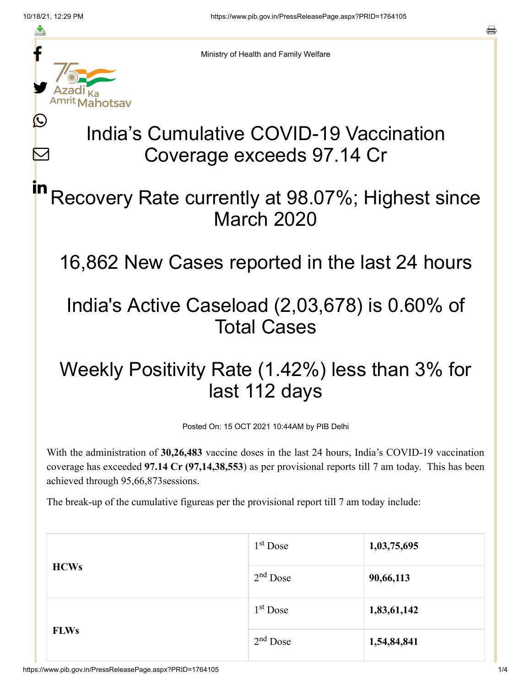f

≛

y.

Ŀ

 $\bm{\nabla}$ 

# Amrit Mahotsav India's Cumulative COVID-19 Vaccination Coverage exceeds 97.14 Cr

### Recovery Rate currently at 98.07%; Highest since March 2020 in

16,862 New Cases reported in the last 24 hours

## India's Active Caseload (2,03,678) is 0.60% of Total Cases

## Weekly Positivity Rate (1.42%) less than 3% for last 112 days

Posted On: 15 OCT 2021 10:44AM by PIB Delhi

With the administration of **30,26,483** vaccine doses in the last 24 hours, India's COVID-19 vaccination coverage has exceeded **97.14 Cr (97,14,38,553**) as per provisional reports till 7 am today. This has been achieved through 95,66,873sessions.

The break-up of the cumulative figureas per the provisional report till 7 am today include:

| <b>HCWs</b> | $1st$ Dose | 1,03,75,695 |
|-------------|------------|-------------|
|             | $2nd$ Dose | 90,66,113   |
| <b>FLWs</b> | $1st$ Dose | 1,83,61,142 |
|             | $2nd$ Dose | 1,54,84,841 |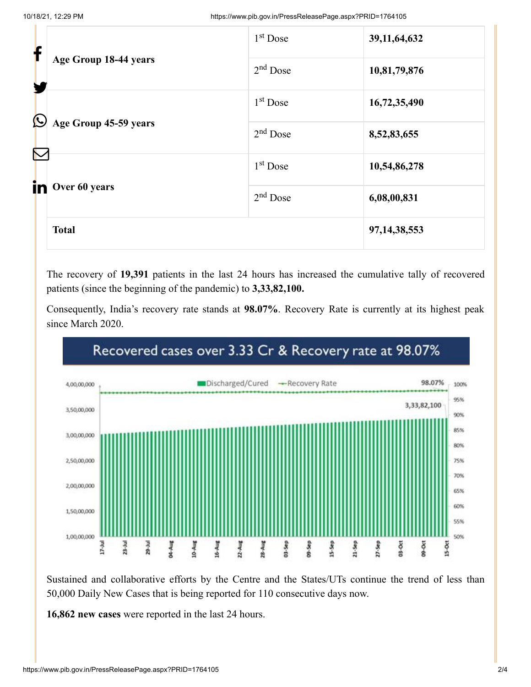| f                 |                                              | 1 <sup>st</sup> Dose | 39, 11, 64, 632 |
|-------------------|----------------------------------------------|----------------------|-----------------|
|                   | Age Group 18-44 years                        | $2nd$ Dose           | 10,81,79,876    |
| $\bm{\mathbb{O}}$ |                                              | 1 <sup>st</sup> Dose | 16,72,35,490    |
|                   | Age Group 45-59 years<br>$\color{red}\nabla$ | $2nd$ Dose           | 8,52,83,655     |
|                   |                                              | 1 <sup>st</sup> Dose | 10,54,86,278    |
| in.               | Over 60 years                                | $2nd$ Dose           | 6,08,00,831     |
|                   | <b>Total</b>                                 |                      | 97, 14, 38, 553 |

The recovery of **19,391** patients in the last 24 hours has increased the cumulative tally of recovered patients (since the beginning of the pandemic) to **3,33,82,100.**

Consequently, India's recovery rate stands at **98.07%**. Recovery Rate is currently at its highest peak since March 2020.



#### Recovered cases over 3.33 Cr & Recovery rate at 98.07%

Sustained and collaborative efforts by the Centre and the States/UTs continue the trend of less than 50,000 Daily New Cases that is being reported for 110 consecutive days now.

**16,862 new cases** were reported in the last 24 hours.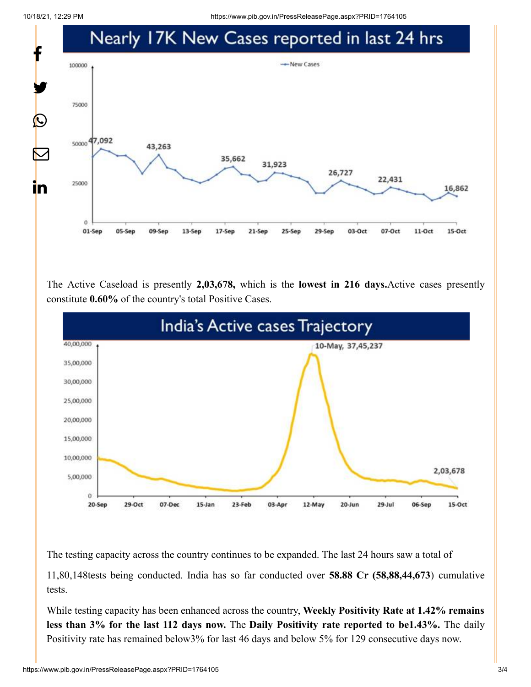10/18/21, 12:29 PM https://www.pib.gov.in/PressReleasePage.aspx?PRID=1764105



The Active Caseload is presently **2,03,678,** which is the **lowest in 216 days.**Active cases presently constitute **0.60%** of the country's total Positive Cases.



The testing capacity across the country continues to be expanded. The last 24 hours saw a total of

11,80,148tests being conducted. India has so far conducted over **58.88 Cr (58,88,44,673**) cumulative tests.

While testing capacity has been enhanced across the country, **Weekly Positivity Rate at 1.42% remains less than 3% for the last 112 days now.** The **Daily Positivity rate reported to be1.43%.** The daily Positivity rate has remained below3% for last 46 days and below 5% for 129 consecutive days now.